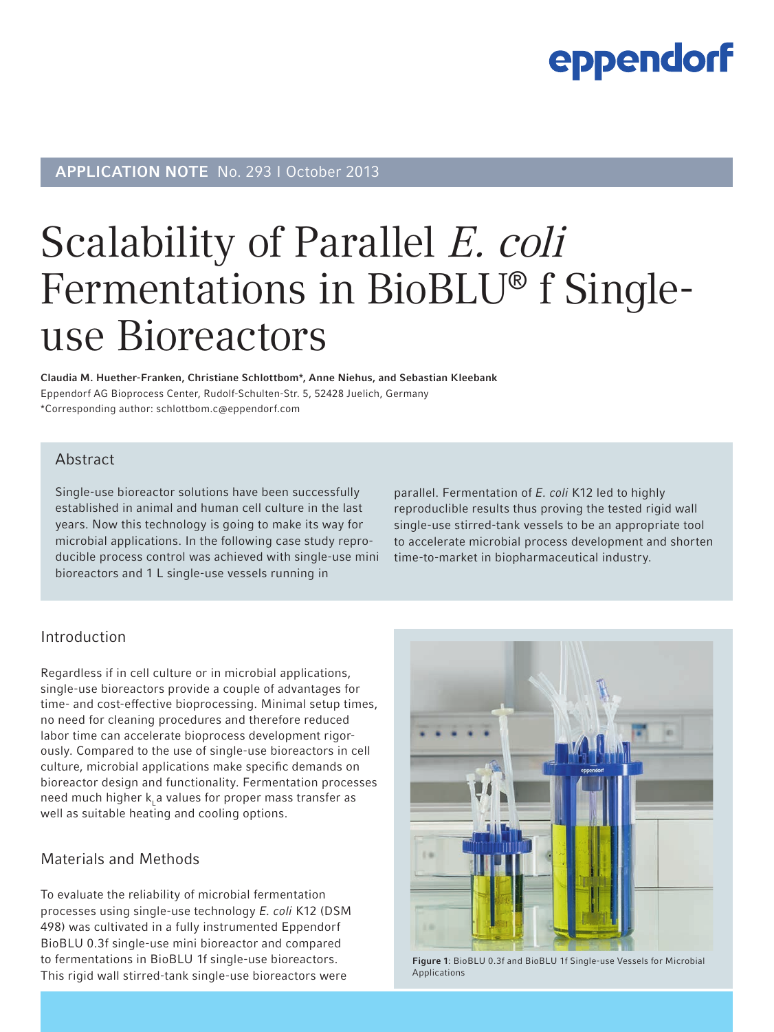### APPLICATION NOTE No. 293 I October 2013

# Scalability of Parallel E. coli Fermentations in BioBLU® f Singleuse Bioreactors

Claudia M. Huether-Franken, Christiane Schlottbom\*, Anne Niehus, and Sebastian Kleebank Eppendorf AG Bioprocess Center, Rudolf-Schulten-Str. 5, 52428 Juelich, Germany \*Corresponding author: schlottbom.c@eppendorf.com

#### Abstract

Single-use bioreactor solutions have been successfully established in animal and human cell culture in the last years. Now this technology is going to make its way for microbial applications. In the following case study reproducible process control was achieved with single-use mini bioreactors and 1 L single-use vessels running in

parallel. Fermentation of E. coli K12 led to highly reproduclible results thus proving the tested rigid wall single-use stirred-tank vessels to be an appropriate tool to accelerate microbial process development and shorten time-to-market in biopharmaceutical industry.

### Introduction

Regardless if in cell culture or in microbial applications, single-use bioreactors provide a couple of advantages for time- and cost-effective bioprocessing. Minimal setup times, no need for cleaning procedures and therefore reduced labor time can accelerate bioprocess development rigorously. Compared to the use of single-use bioreactors in cell culture, microbial applications make specific demands on bioreactor design and functionality. Fermentation processes need much higher  $k<sub>i</sub>$  a values for proper mass transfer as well as suitable heating and cooling options.

### Materials and Methods

To evaluate the reliability of microbial fermentation processes using single-use technology E. coli K12 (DSM 498) was cultivated in a fully instrumented Eppendorf BioBLU 0.3f single-use mini bioreactor and compared to fermentations in BioBLU 1f single-use bioreactors. This rigid wall stirred-tank single-use bioreactors were



Figure 1: BioBLU 0.3f and BioBLU 1f Single-use Vessels for Microbial Applications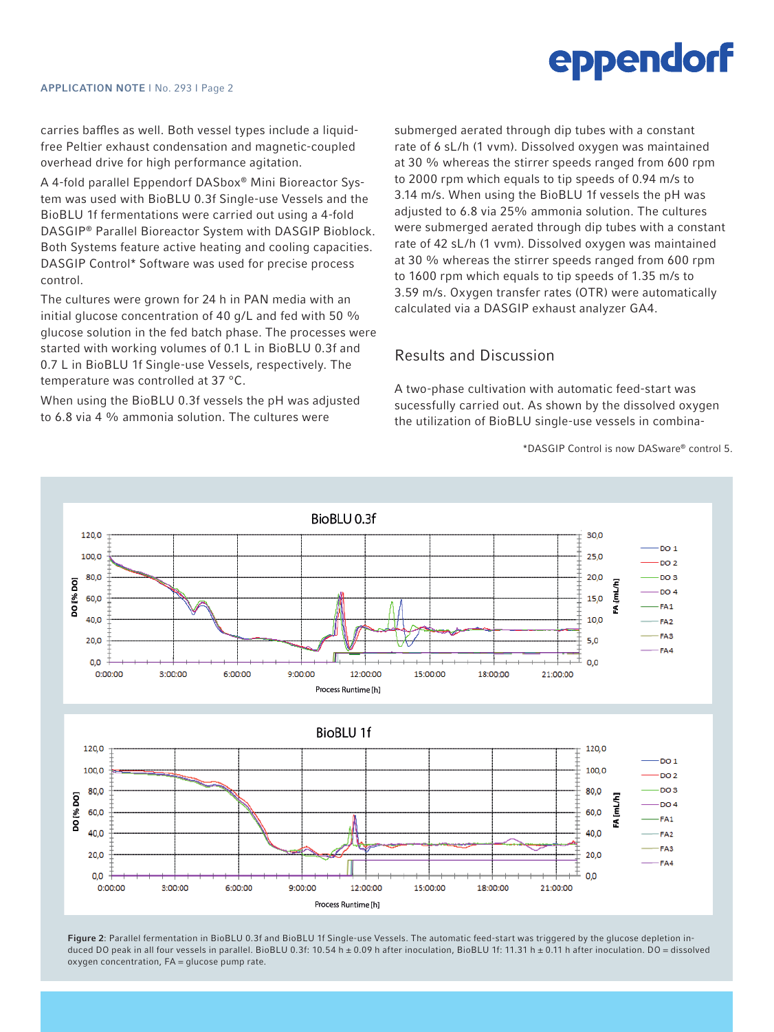carries baffles as well. Both vessel types include a liquidfree Peltier exhaust condensation and magnetic-coupled overhead drive for high performance agitation.

A 4-fold parallel Eppendorf DASbox® Mini Bioreactor System was used with BioBLU 0.3f Single-use Vessels and the BioBLU 1f fermentations were carried out using a 4-fold DASGIP® Parallel Bioreactor System with DASGIP Bioblock. Both Systems feature active heating and cooling capacities. DASGIP Control\* Software was used for precise process control.

The cultures were grown for 24 h in PAN media with an initial glucose concentration of 40 g/L and fed with 50 % glucose solution in the fed batch phase. The processes were started with working volumes of 0.1 L in BioBLU 0.3f and 0.7 L in BioBLU 1f Single-use Vessels, respectively. The temperature was controlled at 37 °C.

When using the BioBLU 0.3f vessels the pH was adjusted to 6.8 via 4 % ammonia solution. The cultures were

submerged aerated through dip tubes with a constant rate of 6 sL/h (1 vvm). Dissolved oxygen was maintained at 30 % whereas the stirrer speeds ranged from 600 rpm to 2000 rpm which equals to tip speeds of 0.94 m/s to 3.14 m/s. When using the BioBLU 1f vessels the pH was adjusted to 6.8 via 25% ammonia solution. The cultures were submerged aerated through dip tubes with a constant rate of 42 sL/h (1 vvm). Dissolved oxygen was maintained at 30 % whereas the stirrer speeds ranged from 600 rpm to 1600 rpm which equals to tip speeds of 1.35 m/s to 3.59 m/s. Oxygen transfer rates (OTR) were automatically calculated via a DASGIP exhaust analyzer GA4.

### Results and Discussion

A two-phase cultivation with automatic feed-start was sucessfully carried out. As shown by the dissolved oxygen the utilization of BioBLU single-use vessels in combina-

\*DASGIP Control is now DASware® control 5.



Figure 2: Parallel fermentation in BioBLU 0.3f and BioBLU 1f Single-use Vessels. The automatic feed-start was triggered by the glucose depletion induced DO peak in all four vessels in parallel. BioBLU 0.3f: 10.54 h ± 0.09 h after inoculation, BioBLU 1f: 11.31 h ± 0.11 h after inoculation. DO = dissolved oxygen concentration, FA = glucose pump rate.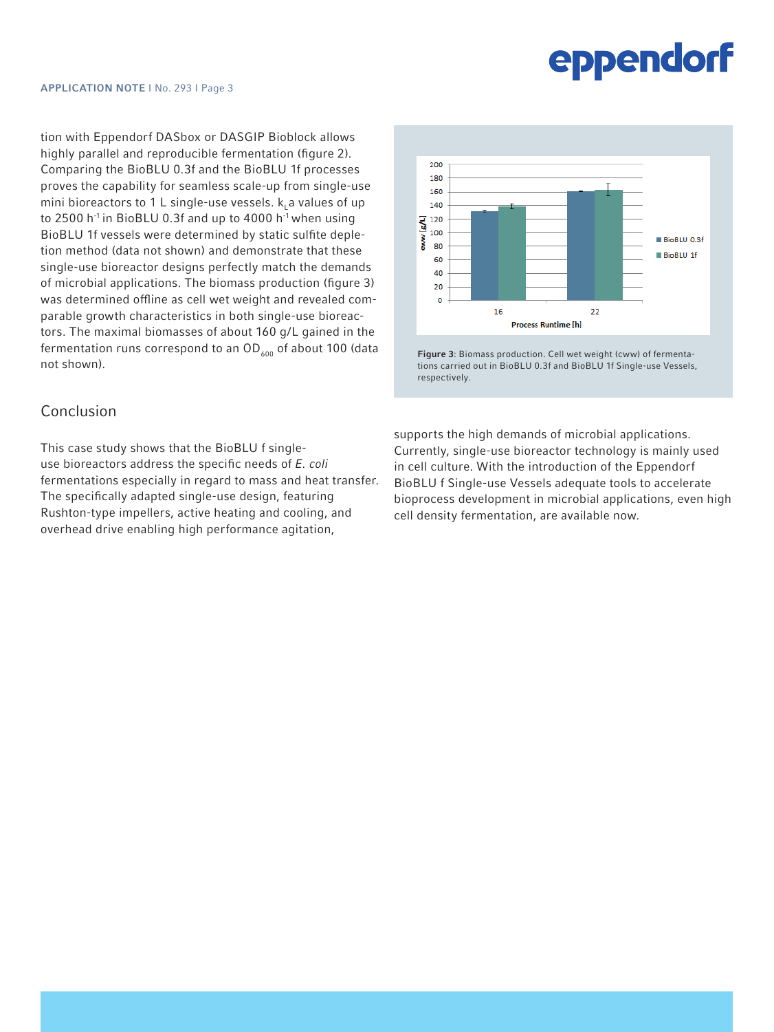#### APPLICATION NOTE I No. 293 I Page 3

tion with Eppendorf DASbox or DASGIP Bioblock allows highly parallel and reproducible fermentation (figure 2). Comparing the BioBLU 0.3f and the BioBLU 1f processes proves the capability for seamless scale-up from single-use mini bioreactors to  $1$  L single-use vessels.  $k$ , a values of up to 2500 h<sup>-1</sup> in BioBLU 0.3f and up to 4000 h $^{-1}$  when using BioBLU 1f vessels were determined by static sulfite depletion method (data not shown) and demonstrate that these single-use bioreactor designs perfectly match the demands of microbial applications. The biomass production (figure 3) was determined offline as cell wet weight and revealed comparable growth characteristics in both single-use bioreactors. The maximal biomasses of about 160 g/L gained in the fermentation runs correspond to an  $OD_{600}$  of about 100 (data not shown).

#### Conclusion

This case study shows that the BioBLU f singleuse bioreactors address the specific needs of *E. coli*  fermentations especially in regard to mass and heat transfer. The specifically adapted single-use design, featuring Rushton-type impellers, active heating and cooling, and overhead drive enabling high performance agitation,



Figure 3: Biomass production. Cell wet weight (cww) of fermentations carried out in BioBLU 0.3f and BioBLU 1f Single-use Vessels, respectively.

supports the high demands of microbial applications. Currently, single-use bioreactor technology is mainly used in cell culture. With the introduction of the Eppendorf BioBLU f Single-use Vessels adequate tools to accelerate bioprocess development in microbial applications, even high cell density fermentation, are available now.